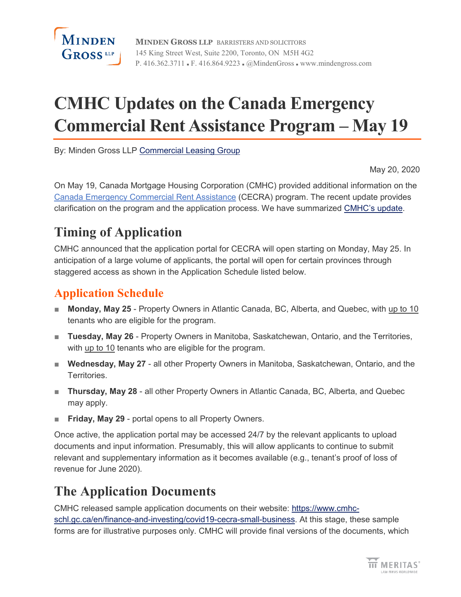

**MINDEN GROSS LLP** BARRISTERS AND SOLICITORS 145 King Street West, Suite 2200, Toronto, ON M5H 4G2 P. 416.362.3711 · F. 416.864.9223 · @MindenGross · www.mindengross.com

# **CMHC Updates on the Canada Emergency Commercial Rent Assistance Program – May 19**

By: Minden Gross LLP [Commercial Leasing Group](https://www.mindengross.com/client-services/details/commercial-leasing)

May 20, 2020

On May 19, Canada Mortgage Housing Corporation (CMHC) provided additional information on the [Canada Emergency Commercial Rent Assistance](https://www.cmhc-schl.gc.ca/en/finance-and-investing/covid19-cecra-small-business) (CECRA) program. The recent update provides clarification on the program and the application process. We have summarized [CMHC's update.](https://www.cmhc-schl.gc.ca/en/media-newsroom/speeches/2020/supporting-financial-stability-during-covid19-pandemic)

# **Timing of Application**

CMHC announced that the application portal for CECRA will open starting on Monday, May 25. In anticipation of a large volume of applicants, the portal will open for certain provinces through staggered access as shown in the Application Schedule listed below.

### **Application Schedule**

- **Monday, May 25** Property Owners in Atlantic Canada, BC, Alberta, and Quebec, with up to 10 tenants who are eligible for the program.
- **Tuesday, May 26** Property Owners in Manitoba, Saskatchewan, Ontario, and the Territories, with up to 10 tenants who are eligible for the program.
- **Wednesday, May 27** all other Property Owners in Manitoba, Saskatchewan, Ontario, and the Territories.
- **Thursday, May 28** all other Property Owners in Atlantic Canada, BC, Alberta, and Quebec may apply.
- **Friday, May 29** portal opens to all Property Owners.

Once active, the application portal may be accessed 24/7 by the relevant applicants to upload documents and input information. Presumably, this will allow applicants to continue to submit relevant and supplementary information as it becomes available (e.g., tenant's proof of loss of revenue for June 2020).

# **The Application Documents**

CMHC released sample application documents on their website: [https://www.cmhc](https://www.cmhc-schl.gc.ca/en/finance-and-investing/covid19-cecra-small-business)[schl.gc.ca/en/finance-and-investing/covid19-cecra-small-business.](https://www.cmhc-schl.gc.ca/en/finance-and-investing/covid19-cecra-small-business) At this stage, these sample forms are for illustrative purposes only. CMHC will provide final versions of the documents, which

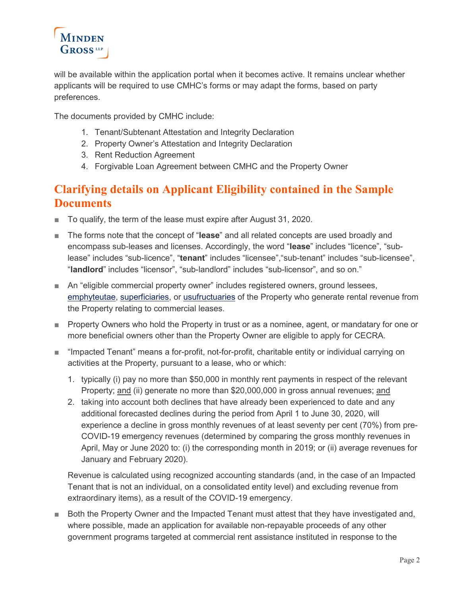

will be available within the application portal when it becomes active. It remains unclear whether applicants will be required to use CMHC's forms or may adapt the forms, based on party preferences.

The documents provided by CMHC include:

- 1. Tenant/Subtenant Attestation and Integrity Declaration
- 2. Property Owner's Attestation and Integrity Declaration
- 3. Rent Reduction Agreement
- 4. Forgivable Loan Agreement between CMHC and the Property Owner

### **Clarifying details on Applicant Eligibility contained in the Sample Documents**

- To qualify, the term of the lease must expire after August 31, 2020.
- The forms note that the concept of "lease" and all related concepts are used broadly and encompass sub-leases and licenses. Accordingly, the word "**lease**" includes "licence", "sublease" includes "sub-licence", "**tenant**" includes "licensee","sub-tenant" includes "sub-licensee", "**landlord**" includes "licensor", "sub-landlord" includes "sub-licensor", and so on."
- An "eligible commercial property owner" includes registered owners, ground lessees, [emphyteutae,](https://www.merriam-webster.com/dictionary/emphyteuta) [superficiaries,](https://www.merriam-webster.com/dictionary/superficiary) or [usufructuaries](https://www.merriam-webster.com/dictionary/usufructuaries) of the Property who generate rental revenue from the Property relating to commercial leases.
- Property Owners who hold the Property in trust or as a nominee, agent, or mandatary for one or more beneficial owners other than the Property Owner are eligible to apply for CECRA.
- "Impacted Tenant" means a for-profit, not-for-profit, charitable entity or individual carrying on activities at the Property, pursuant to a lease, who or which:
	- 1. typically (i) pay no more than \$50,000 in monthly rent payments in respect of the relevant Property; and (ii) generate no more than \$20,000,000 in gross annual revenues; and
	- 2. taking into account both declines that have already been experienced to date and any additional forecasted declines during the period from April 1 to June 30, 2020, will experience a decline in gross monthly revenues of at least seventy per cent (70%) from pre-COVID-19 emergency revenues (determined by comparing the gross monthly revenues in April, May or June 2020 to: (i) the corresponding month in 2019; or (ii) average revenues for January and February 2020).

Revenue is calculated using recognized accounting standards (and, in the case of an Impacted Tenant that is not an individual, on a consolidated entity level) and excluding revenue from extraordinary items), as a result of the COVID-19 emergency.

■ Both the Property Owner and the Impacted Tenant must attest that they have investigated and, where possible, made an application for available non-repayable proceeds of any other government programs targeted at commercial rent assistance instituted in response to the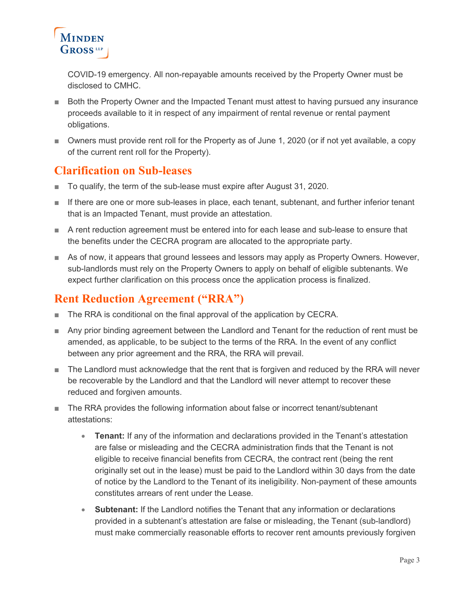

COVID-19 emergency. All non-repayable amounts received by the Property Owner must be disclosed to CMHC.

- Both the Property Owner and the Impacted Tenant must attest to having pursued any insurance proceeds available to it in respect of any impairment of rental revenue or rental payment obligations.
- Owners must provide rent roll for the Property as of June 1, 2020 (or if not yet available, a copy of the current rent roll for the Property).

#### **Clarification on Sub-leases**

- To qualify, the term of the sub-lease must expire after August 31, 2020.
- If there are one or more sub-leases in place, each tenant, subtenant, and further inferior tenant that is an Impacted Tenant, must provide an attestation.
- A rent reduction agreement must be entered into for each lease and sub-lease to ensure that the benefits under the CECRA program are allocated to the appropriate party.
- As of now, it appears that ground lessees and lessors may apply as Property Owners. However, sub-landlords must rely on the Property Owners to apply on behalf of eligible subtenants. We expect further clarification on this process once the application process is finalized.

### **Rent Reduction Agreement ("RRA")**

- The RRA is conditional on the final approval of the application by CECRA.
- Any prior binding agreement between the Landlord and Tenant for the reduction of rent must be amended, as applicable, to be subject to the terms of the RRA. In the event of any conflict between any prior agreement and the RRA, the RRA will prevail.
- The Landlord must acknowledge that the rent that is forgiven and reduced by the RRA will never be recoverable by the Landlord and that the Landlord will never attempt to recover these reduced and forgiven amounts.
- The RRA provides the following information about false or incorrect tenant/subtenant attestations:
	- **Tenant:** If any of the information and declarations provided in the Tenant's attestation are false or misleading and the CECRA administration finds that the Tenant is not eligible to receive financial benefits from CECRA, the contract rent (being the rent originally set out in the lease) must be paid to the Landlord within 30 days from the date of notice by the Landlord to the Tenant of its ineligibility. Non-payment of these amounts constitutes arrears of rent under the Lease.
	- **Subtenant:** If the Landlord notifies the Tenant that any information or declarations provided in a subtenant's attestation are false or misleading, the Tenant (sub-landlord) must make commercially reasonable efforts to recover rent amounts previously forgiven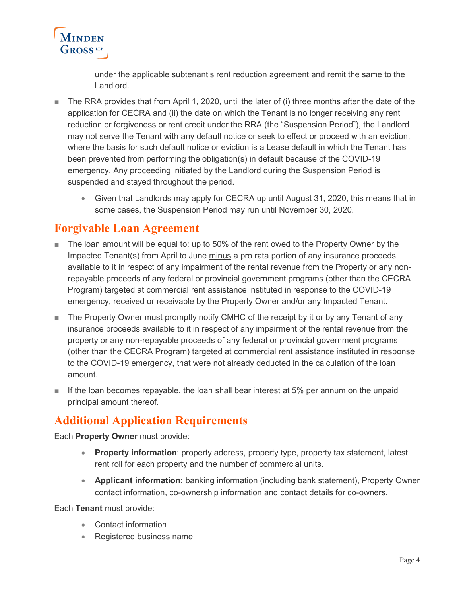

under the applicable subtenant's rent reduction agreement and remit the same to the Landlord.

- The RRA provides that from April 1, 2020, until the later of (i) three months after the date of the application for CECRA and (ii) the date on which the Tenant is no longer receiving any rent reduction or forgiveness or rent credit under the RRA (the "Suspension Period"), the Landlord may not serve the Tenant with any default notice or seek to effect or proceed with an eviction, where the basis for such default notice or eviction is a Lease default in which the Tenant has been prevented from performing the obligation(s) in default because of the COVID-19 emergency. Any proceeding initiated by the Landlord during the Suspension Period is suspended and stayed throughout the period.
	- Given that Landlords may apply for CECRA up until August 31, 2020, this means that in some cases, the Suspension Period may run until November 30, 2020.

#### **Forgivable Loan Agreement**

- The loan amount will be equal to: up to 50% of the rent owed to the Property Owner by the Impacted Tenant(s) from April to June minus a pro rata portion of any insurance proceeds available to it in respect of any impairment of the rental revenue from the Property or any nonrepayable proceeds of any federal or provincial government programs (other than the CECRA Program) targeted at commercial rent assistance instituted in response to the COVID-19 emergency, received or receivable by the Property Owner and/or any Impacted Tenant.
- The Property Owner must promptly notify CMHC of the receipt by it or by any Tenant of any insurance proceeds available to it in respect of any impairment of the rental revenue from the property or any non-repayable proceeds of any federal or provincial government programs (other than the CECRA Program) targeted at commercial rent assistance instituted in response to the COVID-19 emergency, that were not already deducted in the calculation of the loan amount.
- If the loan becomes repayable, the loan shall bear interest at 5% per annum on the unpaid principal amount thereof.

### **Additional Application Requirements**

Each **Property Owner** must provide:

- **Property information**: property address, property type, property tax statement, latest rent roll for each property and the number of commercial units.
- **Applicant information:** banking information (including bank statement), Property Owner contact information, co-ownership information and contact details for co-owners.

Each **Tenant** must provide:

- Contact information
- Registered business name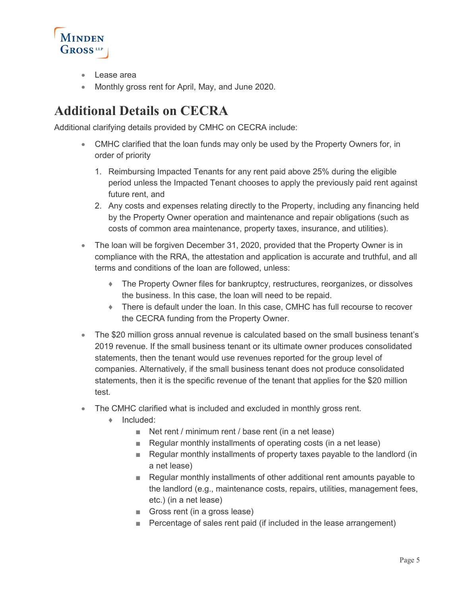

- Lease area
- Monthly gross rent for April, May, and June 2020.

# **Additional Details on CECRA**

Additional clarifying details provided by CMHC on CECRA include:

- CMHC clarified that the loan funds may only be used by the Property Owners for, in order of priority
	- 1. Reimbursing Impacted Tenants for any rent paid above 25% during the eligible period unless the Impacted Tenant chooses to apply the previously paid rent against future rent, and
	- 2. Any costs and expenses relating directly to the Property, including any financing held by the Property Owner operation and maintenance and repair obligations (such as costs of common area maintenance, property taxes, insurance, and utilities).
- The loan will be forgiven December 31, 2020, provided that the Property Owner is in compliance with the RRA, the attestation and application is accurate and truthful, and all terms and conditions of the loan are followed, unless:
	- The Property Owner files for bankruptcy, restructures, reorganizes, or dissolves the business. In this case, the loan will need to be repaid.
	- ♦ There is default under the loan. In this case, CMHC has full recourse to recover the CECRA funding from the Property Owner.
- The \$20 million gross annual revenue is calculated based on the small business tenant's 2019 revenue. If the small business tenant or its ultimate owner produces consolidated statements, then the tenant would use revenues reported for the group level of companies. Alternatively, if the small business tenant does not produce consolidated statements, then it is the specific revenue of the tenant that applies for the \$20 million test.
- The CMHC clarified what is included and excluded in monthly gross rent.
	- ♦ Included:
		- Net rent / minimum rent / base rent (in a net lease)
		- Regular monthly installments of operating costs (in a net lease)
		- Regular monthly installments of property taxes payable to the landlord (in a net lease)
		- Regular monthly installments of other additional rent amounts payable to the landlord (e.g., maintenance costs, repairs, utilities, management fees, etc.) (in a net lease)
		- Gross rent (in a gross lease)
		- Percentage of sales rent paid (if included in the lease arrangement)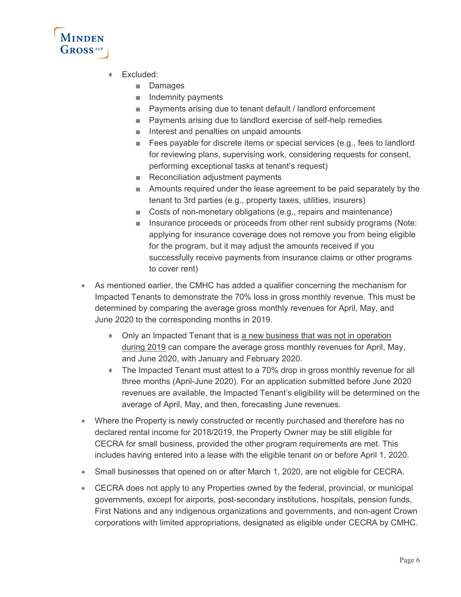

- ♦ Excluded:
	- Damages
	- Indemnity payments
	- Payments arising due to tenant default / landlord enforcement
	- Payments arising due to landlord exercise of self-help remedies
	- Interest and penalties on unpaid amounts
	- Fees payable for discrete items or special services (e.g., fees to landlord for reviewing plans, supervising work, considering requests for consent, performing exceptional tasks at tenant's request)
	- Reconciliation adjustment payments
	- Amounts required under the lease agreement to be paid separately by the tenant to 3rd parties (e.g., property taxes, utilities, insurers)
	- Costs of non-monetary obligations (e.g., repairs and maintenance)
	- Insurance proceeds or proceeds from other rent subsidy programs (Note: applying for insurance coverage does not remove you from being eligible for the program, but it may adjust the amounts received if you successfully receive payments from insurance claims or other programs to cover rent)
- As mentioned earlier, the CMHC has added a qualifier concerning the mechanism for Impacted Tenants to demonstrate the 70% loss in gross monthly revenue. This must be determined by comparing the average gross monthly revenues for April, May, and June 2020 to the corresponding months in 2019.
	- Only an Impacted Tenant that is a new business that was not in operation during 2019 can compare the average gross monthly revenues for April, May, and June 2020, with January and February 2020.
	- ♦ The Impacted Tenant must attest to a 70% drop in gross monthly revenue for all three months (April-June 2020). For an application submitted before June 2020 revenues are available, the Impacted Tenant's eligibility will be determined on the average of April, May, and then, forecasting June revenues.
- Where the Property is newly constructed or recently purchased and therefore has no declared rental income for 2018/2019, the Property Owner may be still eligible for CECRA for small business, provided the other program requirements are met. This includes having entered into a lease with the eligible tenant on or before April 1, 2020.
- Small businesses that opened on or after March 1, 2020, are not eligible for CECRA.
- CECRA does not apply to any Properties owned by the federal, provincial, or municipal governments, except for airports, post-secondary institutions, hospitals, pension funds, First Nations and any indigenous organizations and governments, and non-agent Crown corporations with limited appropriations, designated as eligible under CECRA by CMHC.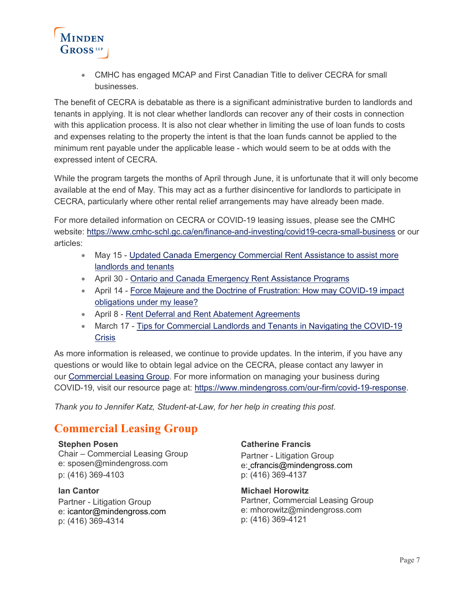

• CMHC has engaged MCAP and First Canadian Title to deliver CECRA for small businesses.

The benefit of CECRA is debatable as there is a significant administrative burden to landlords and tenants in applying. It is not clear whether landlords can recover any of their costs in connection with this application process. It is also not clear whether in limiting the use of loan funds to costs and expenses relating to the property the intent is that the loan funds cannot be applied to the minimum rent payable under the applicable lease - which would seem to be at odds with the expressed intent of CECRA.

While the program targets the months of April through June, it is unfortunate that it will only become available at the end of May. This may act as a further disincentive for landlords to participate in CECRA, particularly where other rental relief arrangements may have already been made.

For more detailed information on CECRA or COVID-19 leasing issues, please see the CMHC website: https://www.cmhc-schl.gc.ca/en/finance-and-investing/covid19-cecra-small-business or our articles:

- May 15 [Updated Canada Emergency Commercial Rent Assistance to assist more](https://www.mindengross.com/resources/news-events/2020/05/15/updated-canada-emergency-commercial-rent-assistance-to-assist-more-landlords-and-tenants)  [landlords and tenants](https://www.mindengross.com/resources/news-events/2020/05/15/updated-canada-emergency-commercial-rent-assistance-to-assist-more-landlords-and-tenants)
- April 30 [Ontario and Canada Emergency Rent Assistance Programs](https://www.mindengross.com/resources/news-events/2020/04/30/leasing-ontario-and-canada-emergency-rent-assistance-programs)
- April 14 [Force Majeure and the Doctrine of Frustration: How may COVID-19](https://www.mindengross.com/resources/news-events/2020/04/14/force-majeure-and-the-doctrine-of-frustration-how-may-covid-19-impact-obligations-under-my-lease) impact [obligations under my lease?](https://www.mindengross.com/resources/news-events/2020/04/14/force-majeure-and-the-doctrine-of-frustration-how-may-covid-19-impact-obligations-under-my-lease)
- April 8 [Rent Deferral and Rent Abatement Agreements](https://www.mindengross.com/resources/news-events/2020/04/08/bulletin-rent-deferral-and-rent-abatement-agreements)
- March 17 Tips for Commercial Landlords and Tenants in Navigating the COVID-19 **[Crisis](https://www.mindengross.com/docs/default-source/publications/tips-for-commercial-landlords-and-tenants-in-navigating-the-covid-19-crisis.pdf?sfvrsn=6)**

As more information is released, we continue to provide updates. In the interim, if you have any questions or would like to obtain legal advice on the CECRA, please contact any lawyer in our [Commercial Leasing Group.](https://www.mindengross.com/client-services/details/commercial-leasing) For more information on managing your business during COVID-19, visit our resource page at: [https://www.mindengross.com/our-firm/covid-19-response.](https://www.mindengross.com/our-firm/covid-19-response)

*Thank you to Jennifer Katz, Student-at-Law, for her help in creating this post.*

### **Commercial Leasing Group**

**[Stephen Posen](https://www.mindengross.com/our-people/details/stephen-posen)** Chair – Commercial Leasing Group e: [sposen@mindengross.com](mailto:sposen@mindengross.com) p: (416) 369-4103

**Ian Cantor** Partner - Litigation Group e: [icantor@mindengross.com](mailto:icantor@mindengross.com) p: (416) 369-4314

#### **Catherine Francis**

Partner - Litigation Group e: [cfrancis@mindengross.com](mailto:cfrancis@mindengross.com) p: (416) 369-4137

**[Michael Horowitz](https://www.mindengross.com/our-people/details/michael-horowitz)** Partner, Commercial Leasing Group e: [mhorowitz@mindengross.com](mailto:mhorowitz@mindengross.com) p: (416) 369-4121